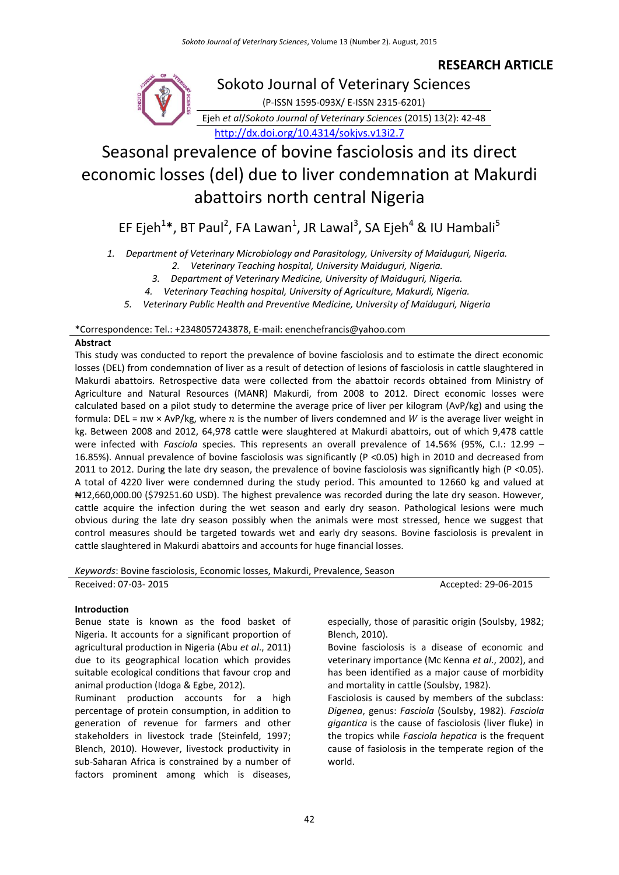## **RESEARCH ARTICLE**



Sokoto Journal of Veterinary Sciences (P-ISSN 1595-093X/ E-ISSN 2315-6201) Ejeh *et al*/*Sokoto Journal of Veterinary Sciences* (2015) 13(2): 42-48 <http://dx.doi.org/10.4314/sokjvs.v13i2.7>

# Seasonal prevalence of bovine fasciolosis and its direct economic losses (del) due to liver condemnation at Makurdi abattoirs north central Nigeria

EF Ejeh<sup>1</sup>\*, BT Paul<sup>2</sup>, FA Lawan<sup>1</sup>, JR Lawal<sup>3</sup>, SA Ejeh<sup>4</sup> & IU Hambali<sup>5</sup>

*1. Department of Veterinary Microbiology and Parasitology, University of Maiduguri, Nigeria.*

*2. Veterinary Teaching hospital, University Maiduguri, Nigeria.*

*3. Department of Veterinary Medicine, University of Maiduguri, Nigeria.*

*4. Veterinary Teaching hospital, University of Agriculture, Makurdi, Nigeria.*

*5. Veterinary Public Health and Preventive Medicine, University of Maiduguri, Nigeria*

\*Correspondence: Tel.: +2348057243878, E-mail: enenchefrancis@yahoo.com

## **Abstract**

This study was conducted to report the prevalence of bovine fasciolosis and to estimate the direct economic losses (DEL) from condemnation of liver as a result of detection of lesions of fasciolosis in cattle slaughtered in Makurdi abattoirs. Retrospective data were collected from the abattoir records obtained from Ministry of Agriculture and Natural Resources (MANR) Makurdi, from 2008 to 2012. Direct economic losses were calculated based on a pilot study to determine the average price of liver per kilogram (AvP/kg) and using the formula: DEL =  $nw \times \frac{\text{Av}}{k}$ , where *n* is the number of livers condemned and *W* is the average liver weight in kg. Between 2008 and 2012, 64,978 cattle were slaughtered at Makurdi abattoirs, out of which 9,478 cattle were infected with *Fasciola* species. This represents an overall prevalence of 14**.**56% (95%, C.I.: 12.99 – 16.85%). Annual prevalence of bovine fasciolosis was significantly (P <0.05) high in 2010 and decreased from 2011 to 2012. During the late dry season, the prevalence of bovine fasciolosis was significantly high (P <0.05). A total of 4220 liver were condemned during the study period. This amounted to 12660 kg and valued at ₦12,660,000.00 (\$79251.60 USD). The highest prevalence was recorded during the late dry season. However, cattle acquire the infection during the wet season and early dry season. Pathological lesions were much obvious during the late dry season possibly when the animals were most stressed, hence we suggest that control measures should be targeted towards wet and early dry seasons. Bovine fasciolosis is prevalent in cattle slaughtered in Makurdi abattoirs and accounts for huge financial losses.

*Keywords*: Bovine fasciolosis, Economic losses, Makurdi, Prevalence, Season

Received: 07-03- 2015 **Accepted: 29-06-2015** 

## **Introduction**

Benue state is known as the food basket of Nigeria. It accounts for a significant proportion of agricultural production in Nigeria (Abu *et al*., 2011) due to its geographical location which provides suitable ecological conditions that favour crop and animal production (Idoga & Egbe, 2012).

Ruminant production accounts for a high percentage of protein consumption, in addition to generation of revenue for farmers and other stakeholders in livestock trade (Steinfeld, 1997; Blench, 2010). However, livestock productivity in sub-Saharan Africa is constrained by a number of factors prominent among which is diseases,

especially, those of parasitic origin (Soulsby, 1982; Blench, 2010).

Bovine fasciolosis is a disease of economic and veterinary importance (Mc Kenna *et al*., 2002), and has been identified as a major cause of morbidity and mortality in cattle (Soulsby, 1982).

Fasciolosis is caused by members of the subclass: *Digenea*, genus: *Fasciola* (Soulsby, 1982). *Fasciola gigantica* is the cause of fasciolosis (liver fluke) in the tropics while *Fasciola hepatica* is the frequent cause of fasiolosis in the temperate region of the world.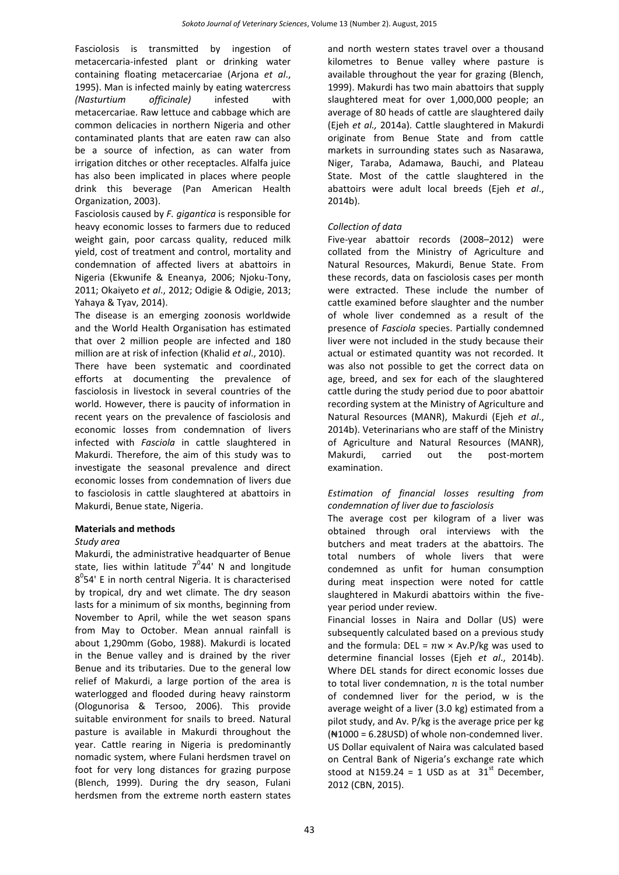Fasciolosis is transmitted by ingestion of metacercaria-infested plant or drinking water containing floating metacercariae (Arjona *et al*., 1995). Man is infected mainly by eating watercress *(Nasturtium officinale)* infested with metacercariae. Raw lettuce and cabbage which are common delicacies in northern Nigeria and other contaminated plants that are eaten raw can also be a source of infection, as can water from irrigation ditches or other receptacles. Alfalfa juice has also been implicated in places where people drink this beverage (Pan American Health Organization, 2003).

Fasciolosis caused by *F. gigantica* is responsible for heavy economic losses to farmers due to reduced weight gain, poor carcass quality, reduced milk yield, cost of treatment and control, mortality and condemnation of affected livers at abattoirs in Nigeria (Ekwunife & Eneanya, 2006; Njoku-Tony, 2011; Okaiyeto *et al*., 2012; Odigie & Odigie, 2013; Yahaya & Tyav, 2014).

The disease is an emerging zoonosis worldwide and the World Health Organisation has estimated that over 2 million people are infected and 180 million are at risk of infection (Khalid *et al*., 2010).

There have been systematic and coordinated efforts at documenting the prevalence of fasciolosis in livestock in several countries of the world. However, there is paucity of information in recent years on the prevalence of fasciolosis and economic losses from condemnation of livers infected with *Fasciola* in cattle slaughtered in Makurdi. Therefore, the aim of this study was to investigate the seasonal prevalence and direct economic losses from condemnation of livers due to fasciolosis in cattle slaughtered at abattoirs in Makurdi, Benue state, Nigeria.

## **Materials and methods**

#### *Study area*

Makurdi, the administrative headquarter of Benue state, lies within latitude  $7^044'$  N and longitude 8<sup>0</sup>54' E in north central Nigeria. It is characterised by tropical, dry and wet climate. The dry season lasts for a minimum of six months, beginning from November to April, while the wet season spans from May to October. Mean annual rainfall is about 1,290mm (Gobo, 1988). Makurdi is located in the Benue valley and is drained by the river Benue and its tributaries. Due to the general low relief of Makurdi, a large portion of the area is waterlogged and flooded during heavy rainstorm (Ologunorisa & Tersoo, 2006). This provide suitable environment for snails to breed. Natural pasture is available in Makurdi throughout the year. Cattle rearing in Nigeria is predominantly nomadic system, where Fulani herdsmen travel on foot for very long distances for grazing purpose (Blench, 1999). During the dry season, Fulani herdsmen from the extreme north eastern states and north western states travel over a thousand kilometres to Benue valley where pasture is available throughout the year for grazing (Blench, 1999). Makurdi has two main abattoirs that supply slaughtered meat for over 1,000,000 people; an average of 80 heads of cattle are slaughtered daily (Ejeh *et al.,* 2014a). Cattle slaughtered in Makurdi originate from Benue State and from cattle markets in surrounding states such as Nasarawa, Niger, Taraba, Adamawa, Bauchi, and Plateau State. Most of the cattle slaughtered in the abattoirs were adult local breeds (Ejeh *et al*., 2014b).

## *Collection of data*

Five-year abattoir records (2008–2012) were collated from the Ministry of Agriculture and Natural Resources, Makurdi, Benue State. From these records, data on fasciolosis cases per month were extracted. These include the number of cattle examined before slaughter and the number of whole liver condemned as a result of the presence of *Fasciola* species. Partially condemned liver were not included in the study because their actual or estimated quantity was not recorded. It was also not possible to get the correct data on age, breed, and sex for each of the slaughtered cattle during the study period due to poor abattoir recording system at the Ministry of Agriculture and Natural Resources (MANR), Makurdi (Ejeh *et al*., 2014b). Veterinarians who are staff of the Ministry of Agriculture and Natural Resources (MANR), Makurdi, carried out the post-mortem examination.

## *Estimation of financial losses resulting from condemnation of liver due to fasciolosis*

The average cost per kilogram of a liver was obtained through oral interviews with the butchers and meat traders at the abattoirs. The total numbers of whole livers that were condemned as unfit for human consumption during meat inspection were noted for cattle slaughtered in Makurdi abattoirs within the fiveyear period under review.

Financial losses in Naira and Dollar (US) were subsequently calculated based on a previous study and the formula: DEL =  $nw \times Av.P/kg$  was used to determine financial losses (Ejeh *et al*., 2014b). Where DEL stands for direct economic losses due to total liver condemnation,  $n$  is the total number of condemned liver for the period, w is the average weight of a liver (3.0 kg) estimated from a pilot study, and Av. P/kg is the average price per kg (₦1000 = 6.28USD) of whole non-condemned liver. US Dollar equivalent of Naira was calculated based on Central Bank of Nigeria's exchange rate which stood at N159.24 = 1 USD as at  $31<sup>st</sup>$  December. 2012 (CBN, 2015).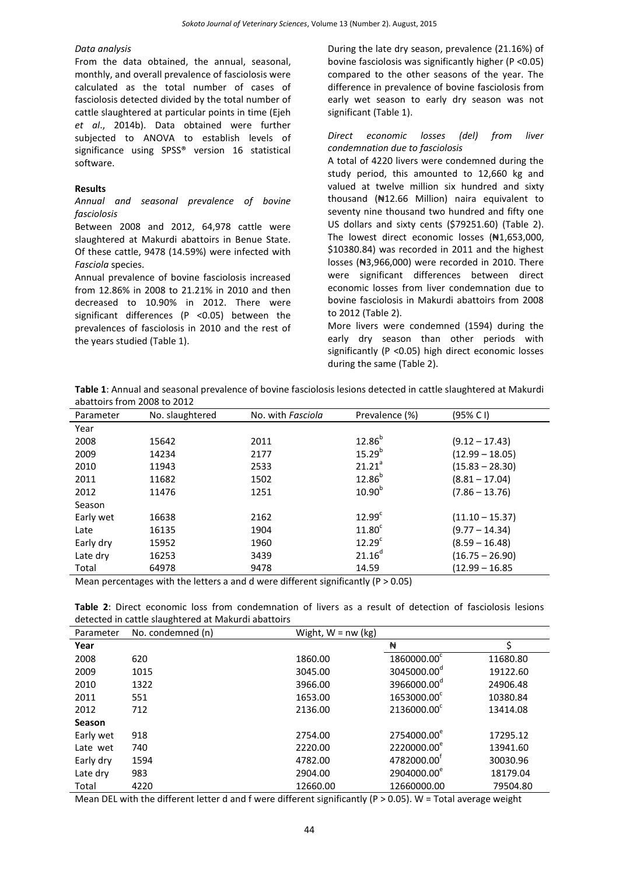#### *Data analysis*

From the data obtained, the annual, seasonal, monthly, and overall prevalence of fasciolosis were calculated as the total number of cases of fasciolosis detected divided by the total number of cattle slaughtered at particular points in time (Ejeh *et al*., 2014b). Data obtained were further subjected to ANOVA to establish levels of significance using SPSS® version 16 statistical software.

#### **Results**

### *Annual and seasonal prevalence of bovine fasciolosis*

Between 2008 and 2012, 64,978 cattle were slaughtered at Makurdi abattoirs in Benue State. Of these cattle, 9478 (14.59%) were infected with *Fasciola* species.

Annual prevalence of bovine fasciolosis increased from 12.86% in 2008 to 21.21% in 2010 and then decreased to 10.90% in 2012. There were significant differences (P <0.05) between the prevalences of fasciolosis in 2010 and the rest of the years studied (Table 1).

During the late dry season, prevalence (21.16%) of bovine fasciolosis was significantly higher (P <0.05) compared to the other seasons of the year. The difference in prevalence of bovine fasciolosis from early wet season to early dry season was not significant (Table 1).

## *Direct economic losses (del) from liver condemnation due to fasciolosis*

A total of 4220 livers were condemned during the study period, this amounted to 12,660 kg and valued at twelve million six hundred and sixty thousand (₦12.66 Million) naira equivalent to seventy nine thousand two hundred and fifty one US dollars and sixty cents (\$79251.60) (Table 2). The lowest direct economic losses (₦1,653,000, \$10380.84) was recorded in 2011 and the highest losses (₦3,966,000) were recorded in 2010. There were significant differences between direct economic losses from liver condemnation due to bovine fasciolosis in Makurdi abattoirs from 2008 to 2012 (Table 2).

More livers were condemned (1594) during the early dry season than other periods with significantly (P <0.05) high direct economic losses during the same (Table 2).

|                             | Table 1: Annual and seasonal prevalence of bovine fasciolosis lesions detected in cattle slaughtered at Makurdi |  |  |
|-----------------------------|-----------------------------------------------------------------------------------------------------------------|--|--|
| abattoirs from 2008 to 2012 |                                                                                                                 |  |  |

| Parameter | No. slaughtered | No. with Fasciola     | Prevalence (%)                                                                                                                                                                                                                             | (95% C I)         |  |  |
|-----------|-----------------|-----------------------|--------------------------------------------------------------------------------------------------------------------------------------------------------------------------------------------------------------------------------------------|-------------------|--|--|
| Year      |                 |                       |                                                                                                                                                                                                                                            |                   |  |  |
| 2008      | 15642           | 2011                  | $12.86^{b}$                                                                                                                                                                                                                                | $(9.12 - 17.43)$  |  |  |
| 2009      | 14234           | 2177                  | $15.29^{b}$                                                                                                                                                                                                                                | $(12.99 - 18.05)$ |  |  |
| 2010      | 11943           | 2533                  | 21.21 <sup>a</sup>                                                                                                                                                                                                                         | $(15.83 - 28.30)$ |  |  |
| 2011      | 11682           | 1502                  | $12.86^{b}$                                                                                                                                                                                                                                | $(8.81 - 17.04)$  |  |  |
| 2012      | 11476           | 1251                  | 10.90 <sup>b</sup>                                                                                                                                                                                                                         | $(7.86 - 13.76)$  |  |  |
| Season    |                 |                       |                                                                                                                                                                                                                                            |                   |  |  |
| Early wet | 16638           | 2162                  | $12.99^c$                                                                                                                                                                                                                                  | $(11.10 - 15.37)$ |  |  |
| Late      | 16135           | 1904                  | 11.80 <sup>c</sup>                                                                                                                                                                                                                         | $(9.77 - 14.34)$  |  |  |
| Early dry | 15952           | 1960                  | $12.29^{\circ}$                                                                                                                                                                                                                            | $(8.59 - 16.48)$  |  |  |
| Late dry  | 16253           | 3439                  | $21.16^d$                                                                                                                                                                                                                                  | $(16.75 - 26.90)$ |  |  |
| Total     | 64978           | 9478                  | 14.59                                                                                                                                                                                                                                      | $(12.99 - 16.85)$ |  |  |
|           |                 | <br>$\mathbf{r}$<br>. | $\cdot$ .<br>$(1)$ $(2)$ $(3)$ $(3)$ $(3)$ $(3)$ $(3)$ $(3)$ $(3)$ $(3)$ $(3)$ $(3)$ $(3)$ $(3)$ $(3)$ $(3)$ $(3)$ $(3)$ $(3)$ $(3)$ $(3)$ $(3)$ $(3)$ $(3)$ $(3)$ $(3)$ $(3)$ $(3)$ $(3)$ $(3)$ $(3)$ $(3)$ $(3)$ $(3)$ $(3)$ $(3)$ $(3)$ |                   |  |  |

Mean percentages with the letters a and d were different significantly ( $P > 0.05$ )

**Table 2**: Direct economic loss from condemnation of livers as a result of detection of fasciolosis lesions detected in cattle slaughtered at Makurdi abattoirs

| Parameter | No. condemned (n) | Wight, $W = nw (kg)$ |                         |          |
|-----------|-------------------|----------------------|-------------------------|----------|
| Year      |                   |                      | ₩                       |          |
| 2008      | 620               | 1860.00              | 1860000.00°             | 11680.80 |
| 2009      | 1015              | 3045.00              | 3045000.00 <sup>d</sup> | 19122.60 |
| 2010      | 1322              | 3966.00              | 3966000.00 <sup>d</sup> | 24906.48 |
| 2011      | 551               | 1653.00              | 1653000.00°             | 10380.84 |
| 2012      | 712               | 2136.00              | 2136000.00°             | 13414.08 |
| Season    |                   |                      |                         |          |
| Early wet | 918               | 2754.00              | 2754000.00 <sup>e</sup> | 17295.12 |
| Late wet  | 740               | 2220.00              | 2220000.00 <sup>e</sup> | 13941.60 |
| Early dry | 1594              | 4782.00              | 4782000.00              | 30030.96 |
| Late dry  | 983               | 2904.00              | 2904000.00 <sup>e</sup> | 18179.04 |
| Total     | 4220              | 12660.00             | 12660000.00             | 79504.80 |

Mean DEL with the different letter d and f were different significantly (P > 0.05). W = Total average weight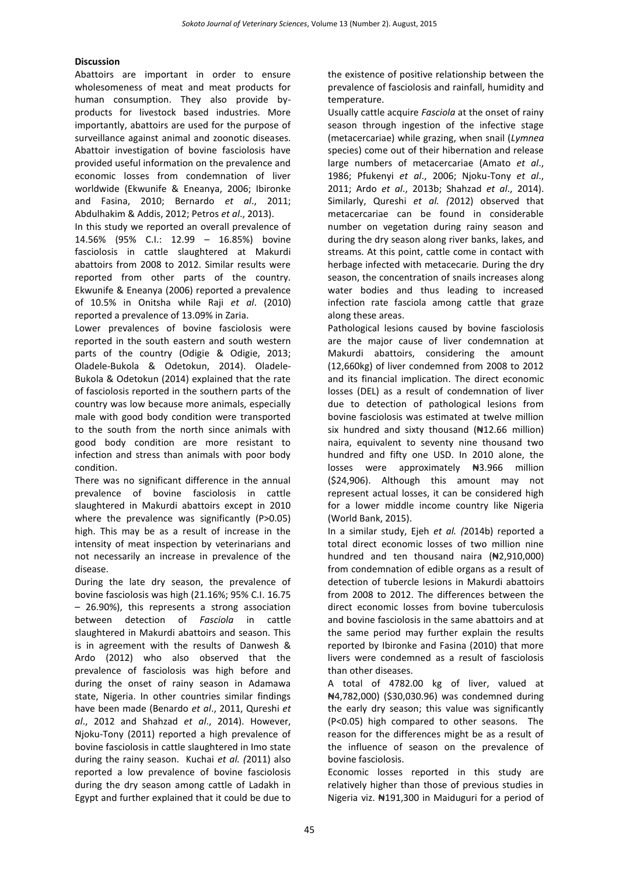## **Discussion**

Abattoirs are important in order to ensure wholesomeness of meat and meat products for human consumption. They also provide byproducts for livestock based industries. More importantly, abattoirs are used for the purpose of surveillance against animal and zoonotic diseases. Abattoir investigation of bovine fasciolosis have provided useful information on the prevalence and economic losses from condemnation of liver worldwide (Ekwunife & Eneanya, 2006; Ibironke and Fasina, 2010; Bernardo *et al*., 2011; Abdulhakim & Addis, 2012; Petros *et al*., 2013).

In this study we reported an overall prevalence of 14.56% (95% C.I.: 12.99 – 16.85%) bovine fasciolosis in cattle slaughtered at Makurdi abattoirs from 2008 to 2012. Similar results were reported from other parts of the country. Ekwunife & Eneanya (2006) reported a prevalence of 10.5% in Onitsha while Raji *et al*. (2010) reported a prevalence of 13.09% in Zaria.

Lower prevalences of bovine fasciolosis were reported in the south eastern and south western parts of the country (Odigie & Odigie, 2013; Oladele-Bukola & Odetokun, 2014). Oladele-Bukola & Odetokun (2014) explained that the rate of fasciolosis reported in the southern parts of the country was low because more animals, especially male with good body condition were transported to the south from the north since animals with good body condition are more resistant to infection and stress than animals with poor body condition.

There was no significant difference in the annual prevalence of bovine fasciolosis in cattle slaughtered in Makurdi abattoirs except in 2010 where the prevalence was significantly (P>0.05) high. This may be as a result of increase in the intensity of meat inspection by veterinarians and not necessarily an increase in prevalence of the disease.

During the late dry season, the prevalence of bovine fasciolosis was high (21.16%; 95% C.I. 16.75 – 26.90%), this represents a strong association between detection of *Fasciola* in cattle slaughtered in Makurdi abattoirs and season. This is in agreement with the results of Danwesh & Ardo (2012) who also observed that the prevalence of fasciolosis was high before and during the onset of rainy season in Adamawa state, Nigeria. In other countries similar findings have been made (Benardo *et al*., 2011, Qureshi *et al*., 2012 and Shahzad *et al*., 2014). However, Njoku-Tony (2011) reported a high prevalence of bovine fasciolosis in cattle slaughtered in Imo state during the rainy season. Kuchai *et al. (*2011) also reported a low prevalence of bovine fasciolosis during the dry season among cattle of Ladakh in Egypt and further explained that it could be due to

the existence of positive relationship between the prevalence of fasciolosis and rainfall, humidity and temperature.

Usually cattle acquire *Fasciola* at the onset of rainy season through ingestion of the infective stage (metacercariae) while grazing, when snail (*Lymnea* species) come out of their hibernation and release large numbers of metacercariae (Amato *et al*., 1986; Pfukenyi *et al*., 2006; Njoku-Tony *et al*., 2011; Ardo *et al*., 2013b; Shahzad *et al*., 2014). Similarly, Qureshi *et al. (*2012) observed that metacercariae can be found in considerable number on vegetation during rainy season and during the dry season along river banks, lakes, and streams. At this point, cattle come in contact with herbage infected with metacecarie*.* During the dry season, the concentration of snails increases along water bodies and thus leading to increased infection rate fasciola among cattle that graze along these areas.

Pathological lesions caused by bovine fasciolosis are the major cause of liver condemnation at Makurdi abattoirs, considering the amount (12,660kg) of liver condemned from 2008 to 2012 and its financial implication. The direct economic losses (DEL) as a result of condemnation of liver due to detection of pathological lesions from bovine fasciolosis was estimated at twelve million six hundred and sixty thousand  $(H12.66 \text{ million})$ naira, equivalent to seventy nine thousand two hundred and fifty one USD. In 2010 alone, the losses were approximately #3.966 million (\$24,906). Although this amount may not represent actual losses, it can be considered high for a lower middle income country like Nigeria (World Bank, 2015).

In a similar study, Ejeh *et al. (*2014b) reported a total direct economic losses of two million nine hundred and ten thousand naira (₦2,910,000) from condemnation of edible organs as a result of detection of tubercle lesions in Makurdi abattoirs from 2008 to 2012. The differences between the direct economic losses from bovine tuberculosis and bovine fasciolosis in the same abattoirs and at the same period may further explain the results reported by Ibironke and Fasina (2010) that more livers were condemned as a result of fasciolosis than other diseases.

A total of 4782.00 kg of liver, valued at ₦4,782,000) (\$30,030.96) was condemned during the early dry season; this value was significantly (P<0.05) high compared to other seasons. The reason for the differences might be as a result of the influence of season on the prevalence of bovine fasciolosis.

Economic losses reported in this study are relatively higher than those of previous studies in Nigeria viz. ₦191,300 in Maiduguri for a period of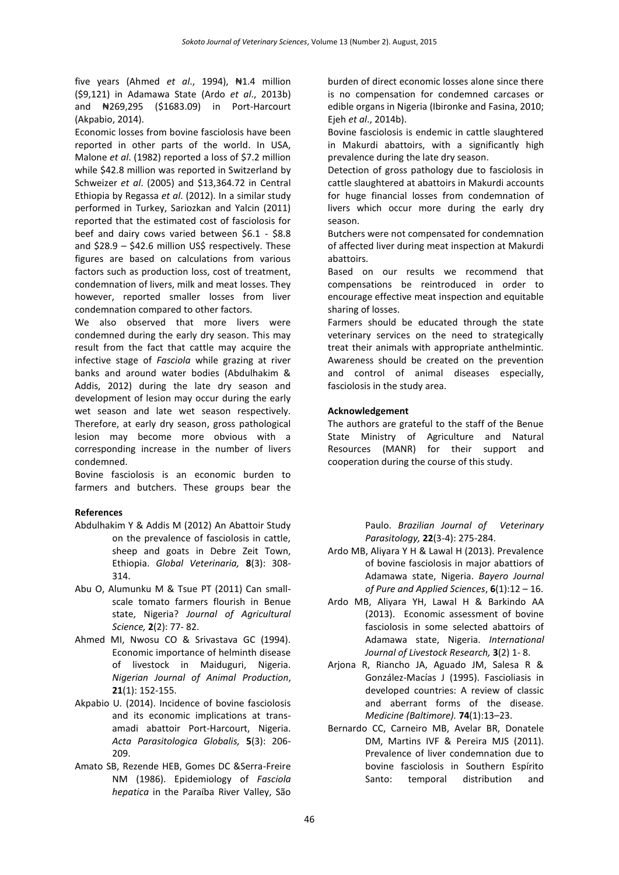five years (Ahmed *et al*., 1994), ₦1.4 million (\$9,121) in Adamawa State (Ardo *et al*., 2013b) and ₦269,295 (\$1683.09) in Port-Harcourt (Akpabio, 2014).

Economic losses from bovine fasciolosis have been reported in other parts of the world. In USA, Malone *et al*. (1982) reported a loss of \$7.2 million while \$42.8 million was reported in Switzerland by Schweizer *et al*. (2005) and \$13,364.72 in Central Ethiopia by Regassa *et al*. (2012). In a similar study performed in Turkey, Sariozkan and Yalcin (2011) reported that the estimated cost of fasciolosis for beef and dairy cows varied between \$6.1 - \$8.8 and  $$28.9 - $42.6$  million US\$ respectively. These figures are based on calculations from various factors such as production loss, cost of treatment, condemnation of livers, milk and meat losses. They however, reported smaller losses from liver condemnation compared to other factors.

We also observed that more livers were condemned during the early dry season. This may result from the fact that cattle may acquire the infective stage of *Fasciola* while grazing at river banks and around water bodies (Abdulhakim & Addis, 2012) during the late dry season and development of lesion may occur during the early wet season and late wet season respectively. Therefore, at early dry season, gross pathological lesion may become more obvious with a corresponding increase in the number of livers condemned.

Bovine fasciolosis is an economic burden to farmers and butchers. These groups bear the

## **References**

- Abdulhakim Y & Addis M (2012) An Abattoir Study on the prevalence of fasciolosis in cattle, sheep and goats in Debre Zeit Town, Ethiopia. *Global Veterinaria,* **8**(3): 308- 314.
- Abu O, Alumunku M & Tsue PT (2011) Can smallscale tomato farmers flourish in Benue state, Nigeria? *Journal of Agricultural Science,* **2**(2): 77- 82.
- Ahmed MI, Nwosu CO & Srivastava GC (1994). Economic importance of helminth disease of livestock in Maiduguri, Nigeria. *Nigerian Journal of Animal Production*, **21**(1): 152-155.
- Akpabio U*.* (2014). Incidence of bovine fasciolosis and its economic implications at transamadi abattoir Port-Harcourt, Nigeria. *Acta Parasitologica Globalis,* **5**(3): 206- 209.
- Amato SB, Rezende HEB, Gomes DC &Serra-Freire NM (1986). Epidemiology of *Fasciola hepatica* in the Paraíba River Valley, São

burden of direct economic losses alone since there is no compensation for condemned carcases or edible organs in Nigeria (Ibironke and Fasina, 2010; Ejeh *et al*., 2014b).

Bovine fasciolosis is endemic in cattle slaughtered in Makurdi abattoirs, with a significantly high prevalence during the late dry season.

Detection of gross pathology due to fasciolosis in cattle slaughtered at abattoirs in Makurdi accounts for huge financial losses from condemnation of livers which occur more during the early dry season.

Butchers were not compensated for condemnation of affected liver during meat inspection at Makurdi abattoirs.

Based on our results we recommend that compensations be reintroduced in order to encourage effective meat inspection and equitable sharing of losses.

Farmers should be educated through the state veterinary services on the need to strategically treat their animals with appropriate anthelmintic. Awareness should be created on the prevention and control of animal diseases especially, fasciolosis in the study area.

## **Acknowledgement**

The authors are grateful to the staff of the Benue State Ministry of Agriculture and Natural Resources (MANR) for their support and cooperation during the course of this study.

> Paulo. *Brazilian Journal of Veterinary Parasitology,* **22**(3-4): 275-284.

- Ardo MB, Aliyara Y H & Lawal H (2013). Prevalence of bovine fasciolosis in major abattiors of Adamawa state, Nigeria. *Bayero Journal of Pure and Applied Sciences*, **6**(1):12 – 16.
- Ardo MB, Aliyara YH, Lawal H & Barkindo AA (2013). Economic assessment of bovine fasciolosis in some selected abattoirs of Adamawa state, Nigeria. *International Journal of Livestock Research,* **3**(2) 1- 8.
- Arjona R, Riancho JA, Aguado JM, Salesa R & González-Macías J (1995). Fascioliasis in developed countries: A review of classic and aberrant forms of the disease. *Medicine (Baltimore).* **74**(1):13–23.
- Bernardo CC, Carneiro MB, Avelar BR, Donatele DM, Martins IVF & Pereira MJS (2011). Prevalence of liver condemnation due to bovine fasciolosis in Southern Espírito Santo: temporal distribution and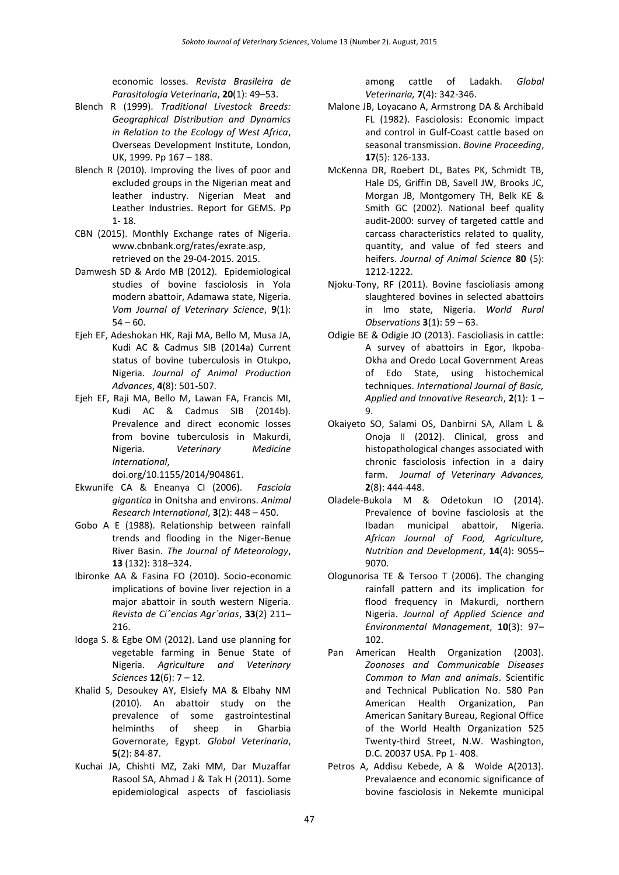economic losses. *Revista Brasileira de Parasitologia Veterinaria*, **20**(1): 49–53.

- Blench R (1999). *Traditional Livestock Breeds: Geographical Distribution and Dynamics in Relation to the Ecology of West Africa*, Overseas Development Institute, London, UK, 1999. Pp 167 – 188.
- Blench R (2010). Improving the lives of poor and excluded groups in the Nigerian meat and leather industry. Nigerian Meat and Leather Industries. Report for GEMS. Pp 1- 18.
- CBN (2015). Monthly Exchange rates of Nigeria. [www.cbnbank.org/rates/exrate.asp,](http://www.cbnbank.org/rates/exrate.asp) retrieved on the 29-04-2015. 2015.
- Damwesh SD & Ardo MB (2012). Epidemiological studies of bovine fasciolosis in Yola modern abattoir, Adamawa state, Nigeria. *Vom Journal of Veterinary Science*, **9**(1):  $54 - 60.$
- Ejeh EF, Adeshokan HK, Raji MA, Bello M, Musa JA, Kudi AC & Cadmus SIB (2014a) Current status of bovine tuberculosis in Otukpo, Nigeria. *Journal of Animal Production Advances*, **4**(8): 501-507.
- Ejeh EF, Raji MA, Bello M, Lawan FA, Francis MI, Kudi AC & Cadmus SIB (2014b). Prevalence and direct economic losses from bovine tuberculosis in Makurdi, Nigeria. *Veterinary Medicine International*,

[doi.org/10.1155/2014/904861.](http://dx.doi.org/10.1155/2014/904861)

- Ekwunife CA & Eneanya CI (2006). *Fasciola gigantica* in Onitsha and environs. *Animal Research International*, **3**(2): 448 – 450.
- Gobo A E (1988). Relationship between rainfall trends and flooding in the Niger-Benue River Basin. *The Journal of Meteorology*, **13** (132): 318–324.
- Ibironke AA & Fasina FO (2010). Socio-economic implications of bovine liver rejection in a major abattoir in south western Nigeria. *Revista de Ciˆencias Agr´arias*, **33**(2) 211– 216.
- Idoga S. & Egbe OM (2012). Land use planning for vegetable farming in Benue State of Nigeria. *Agriculture and Veterinary Sciences* **12**(6): 7 – 12.
- Khalid S, Desoukey AY, Elsiefy MA & Elbahy NM (2010). An abattoir study on the prevalence of some gastrointestinal helminths of sheep in Gharbia Governorate, Egypt. *Global Veterinaria*, **5**(2): 84-87.
- Kuchai JA, Chishti MZ, Zaki MM, Dar Muzaffar Rasool SA, Ahmad J & Tak H (2011). Some epidemiological aspects of fascioliasis

among cattle of Ladakh. *Global Veterinaria,* **7**(4): 342-346.

- Malone JB, Loyacano A, Armstrong DA & Archibald FL (1982). Fasciolosis: Economic impact and control in Gulf-Coast cattle based on seasonal transmission. *Bovine Proceeding*, **17**(5): 126-133.
- McKenna DR, Roebert DL, Bates PK, Schmidt TB, Hale DS, Griffin DB, Savell JW, Brooks JC, Morgan JB, Montgomery TH, Belk KE & Smith GC (2002). National beef quality audit-2000: survey of targeted cattle and carcass characteristics related to quality, quantity, and value of fed steers and heifers. *Journal of Animal Science* **80** (5): 1212-1222.
- Njoku-Tony, RF (2011). Bovine fascioliasis among slaughtered bovines in selected abattoirs in Imo state, Nigeria. *World Rural Observations* **3**(1): 59 – 63.
- Odigie BE & Odigie JO (2013). Fascioliasis in cattle: A survey of abattoirs in Egor, Ikpoba-Okha and Oredo Local Government Areas of Edo State, using histochemical techniques. *International Journal of Basic, Applied and Innovative Research*, **2**(1): 1 – 9.
- Okaiyeto SO, Salami OS, Danbirni SA, Allam L & Onoja II (2012). Clinical, gross and histopathological changes associated with chronic fasciolosis infection in a dairy farm. *Journal of Veterinary Advances,* **2**(8): 444-448.
- Oladele-Bukola M & Odetokun IO (2014). Prevalence of bovine fasciolosis at the Ibadan municipal abattoir, Nigeria. *African Journal of Food, Agriculture, Nutrition and Development*, **14**(4): 9055– 9070.
- Ologunorisa TE & Tersoo T (2006). The changing rainfall pattern and its implication for flood frequency in Makurdi, northern Nigeria. *Journal of Applied Science and Environmental Management*, **10**(3): 97– 102.
- Pan American Health Organization (2003). *Zoonoses and Communicable Diseases Common to Man and animals*. Scientific and Technical Publication No. 580 Pan American Health Organization, Pan American Sanitary Bureau, Regional Office of the World Health Organization 525 Twenty-third Street, N.W. Washington, D.C. 20037 USA. Pp 1- 408.
- Petros A, Addisu Kebede, A & Wolde A(2013). Prevalaence and economic significance of bovine fasciolosis in Nekemte municipal